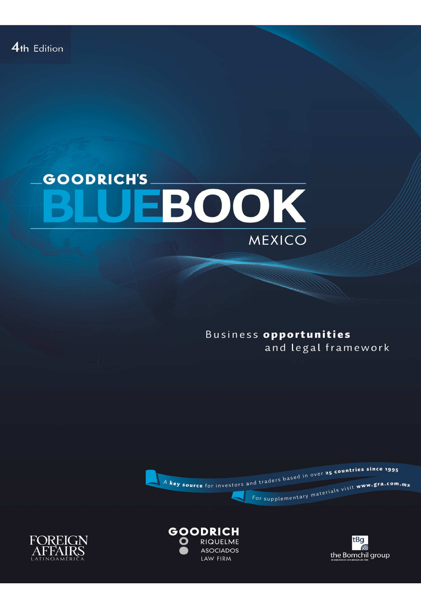## **GOODRICH'S** EBOOK MEXICO

Business opportunities and legal framework







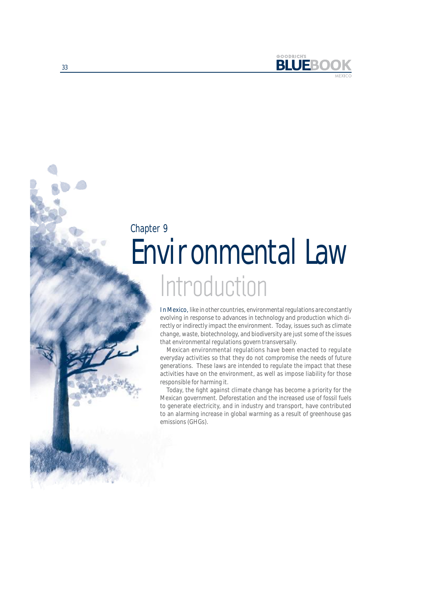

# Introduction Environmental Law Chapter 9

In Mexico, like in other countries, environmental regulations are constantly evolving in response to advances in technology and production which directly or indirectly impact the environment. Today, issues such as climate change, waste, biotechnology, and biodiversity are just some of the issues that environmental regulations govern transversally.

Mexican environmental regulations have been enacted to regulate everyday activities so that they do not compromise the needs of future generations. These laws are intended to regulate the impact that these activities have on the environment, as well as impose liability for those responsible for harming it.

Today, the fight against climate change has become a priority for the Mexican government. Deforestation and the increased use of fossil fuels to generate electricity, and in industry and transport, have contributed to an alarming increase in global warming as a result of greenhouse gas emissions (GHGs).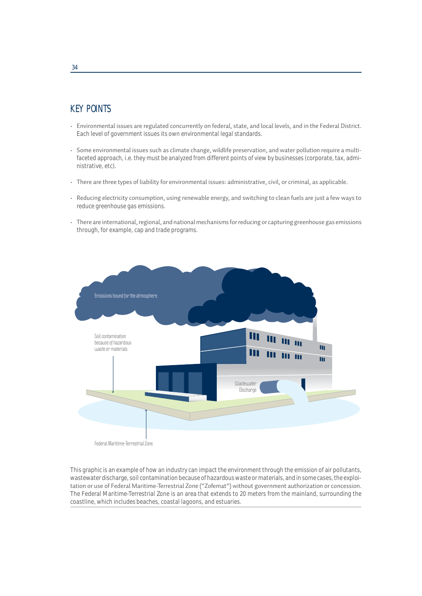## KEY POINTS

- Environmental issues are regulated concurrently on federal, state, and local levels, and in the Federal District. Each level of government issues its own environmental legal standards.
- Some environmental issues such as climate change, wildlife preservation, and water pollution require a multifaceted approach, i.e. they must be analyzed from different points of view by businesses (corporate, tax, administrative, etc).
- There are three types of liability for environmental issues: administrative, civil, or criminal, as applicable.
- Reducing electricity consumption, using renewable energy, and switching to clean fuels are just a few ways to reduce greenhouse gas emissions.
- There are international, regional, and national mechanisms for reducing or capturing greenhouse gas emissions through, for example, cap and trade programs.



Federal Maritime-Terrestrial Zone

This graphic is an example of how an industry can impact the environment through the emission of air pollutants, wastewater discharge, soil contamination because of hazardous waste or materials, and in some cases, the exploitation or use of Federal Maritime-Terrestrial Zone ("Zofemat") without government authorization or concession. The Federal Maritime-Terrestrial Zone is an area that extends to 20 meters from the mainland, surrounding the coastline, which includes beaches, coastal lagoons, and estuaries.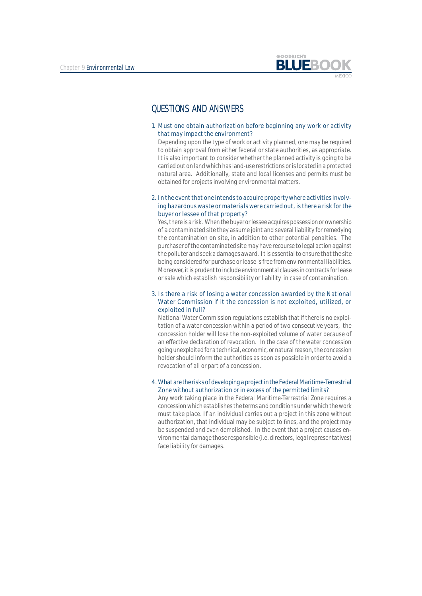

### QUESTIONS AND ANSWERS

1. Must one obtain authorization before beginning any work or activity that may impact the environment?

Depending upon the type of work or activity planned, one may be required to obtain approval from either federal or state authorities, as appropriate. It is also important to consider whether the planned activity is going to be carried out on land which has land-use restrictions or is located in a protected natural area. Additionally, state and local licenses and permits must be obtained for projects involving environmental matters.

2. In the event that one intends to acquire property where activities involving hazardous waste or materials were carried out, is there a risk for the buyer or lessee of that property?

Yes, there is a risk. When the buyer or lessee acquires possession or ownership of a contaminated site they assume joint and several liability for remedying the contamination on site, in addition to other potential penalties. The purchaser of the contaminated site may have recourse to legal action against the polluter and seek a damages award. It is essential to ensure that the site being considered for purchase or lease is free from environmental liabilities. Moreover, it is prudent to include environmental clauses in contracts for lease or sale which establish responsibility or liability in case of contamination.

#### 3. Is there a risk of losing a water concession awarded by the National Water Commission if it the concession is not exploited, utilized, or exploited in full?

National Water Commission regulations establish that if there is no exploitation of a water concession within a period of two consecutive years, the concession holder will lose the non-exploited volume of water because of an effective declaration of revocation. In the case of the water concession going unexploited for a technical, economic, or natural reason, the concession holder should inform the authorities as soon as possible in order to avoid a revocation of all or part of a concession.

#### 4. What are the risks of developing a project in the Federal Maritime-Terrestrial Zone without authorization or in excess of the permitted limits?

Any work taking place in the Federal Maritime-Terrestrial Zone requires a concession which establishes the terms and conditions under which the work must take place. If an individual carries out a project in this zone without authorization, that individual may be subject to fines, and the project may be suspended and even demolished. In the event that a project causes environmental damage those responsible (i.e. directors, legal representatives) face liability for damages.